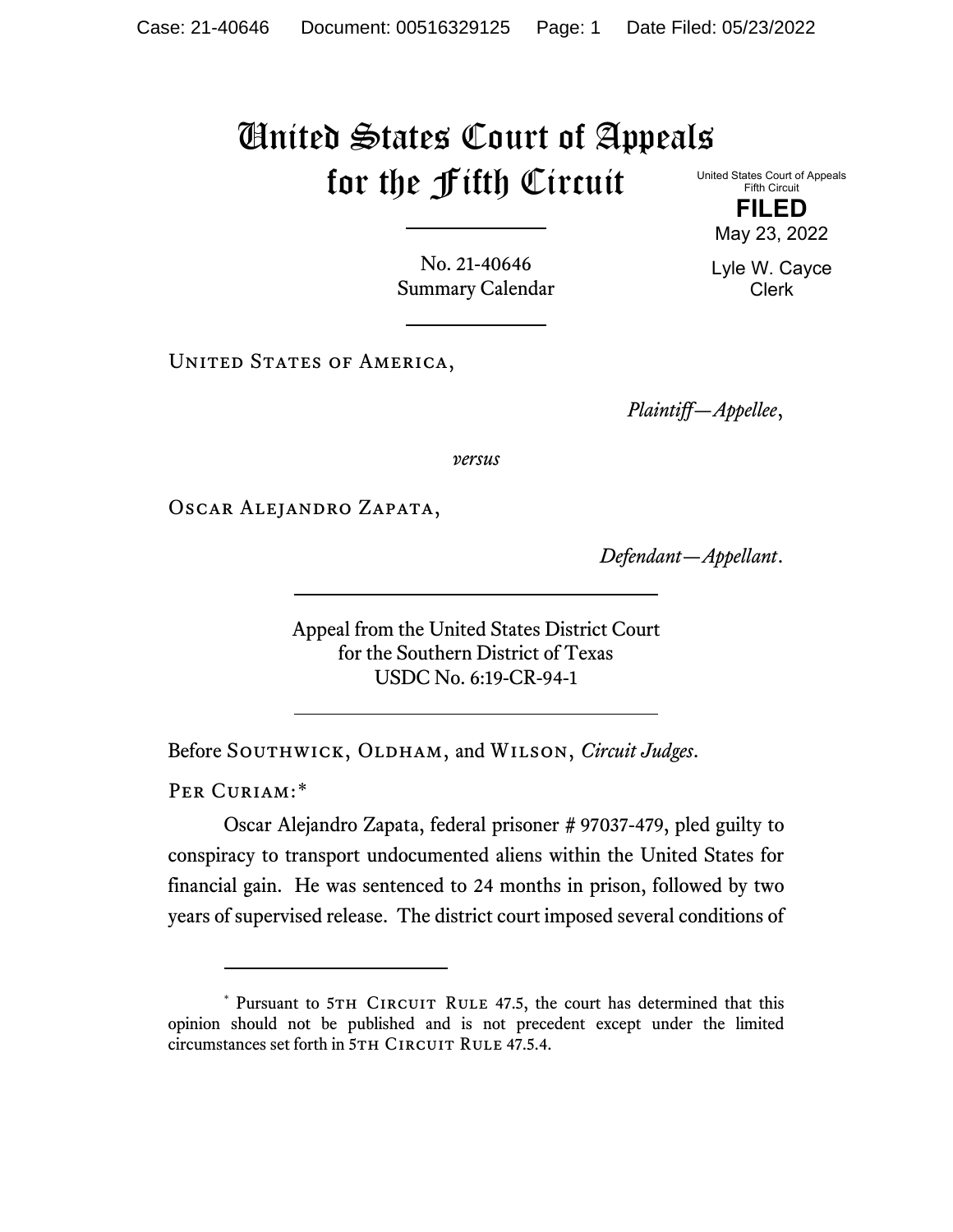## United States Court of Appeals for the Fifth Circuit United States Court of Appeals

Fifth Circuit **FILED**

No. 21-40646 Summary Calendar

UNITED STATES OF AMERICA,

*Plaintiff—Appellee*,

*versus*

Oscar Alejandro Zapata,

*Defendant—Appellant*.

Appeal from the United States District Court for the Southern District of Texas USDC No. 6:19-CR-94-1

Before SOUTHWICK, OLDHAM, and WILSON, *Circuit Judges*.

PER CURIAM:[\\*](#page-0-0)

Oscar Alejandro Zapata, federal prisoner # 97037-479, pled guilty to conspiracy to transport undocumented aliens within the United States for financial gain. He was sentenced to 24 months in prison, followed by two years of supervised release. The district court imposed several conditions of

May 23, 2022 Lyle W. Cayce

Clerk

<span id="page-0-0"></span><sup>\*</sup> Pursuant to 5TH CIRCUIT RULE 47.5, the court has determined that this opinion should not be published and is not precedent except under the limited circumstances set forth in 5TH CIRCUIT RULE 47.5.4.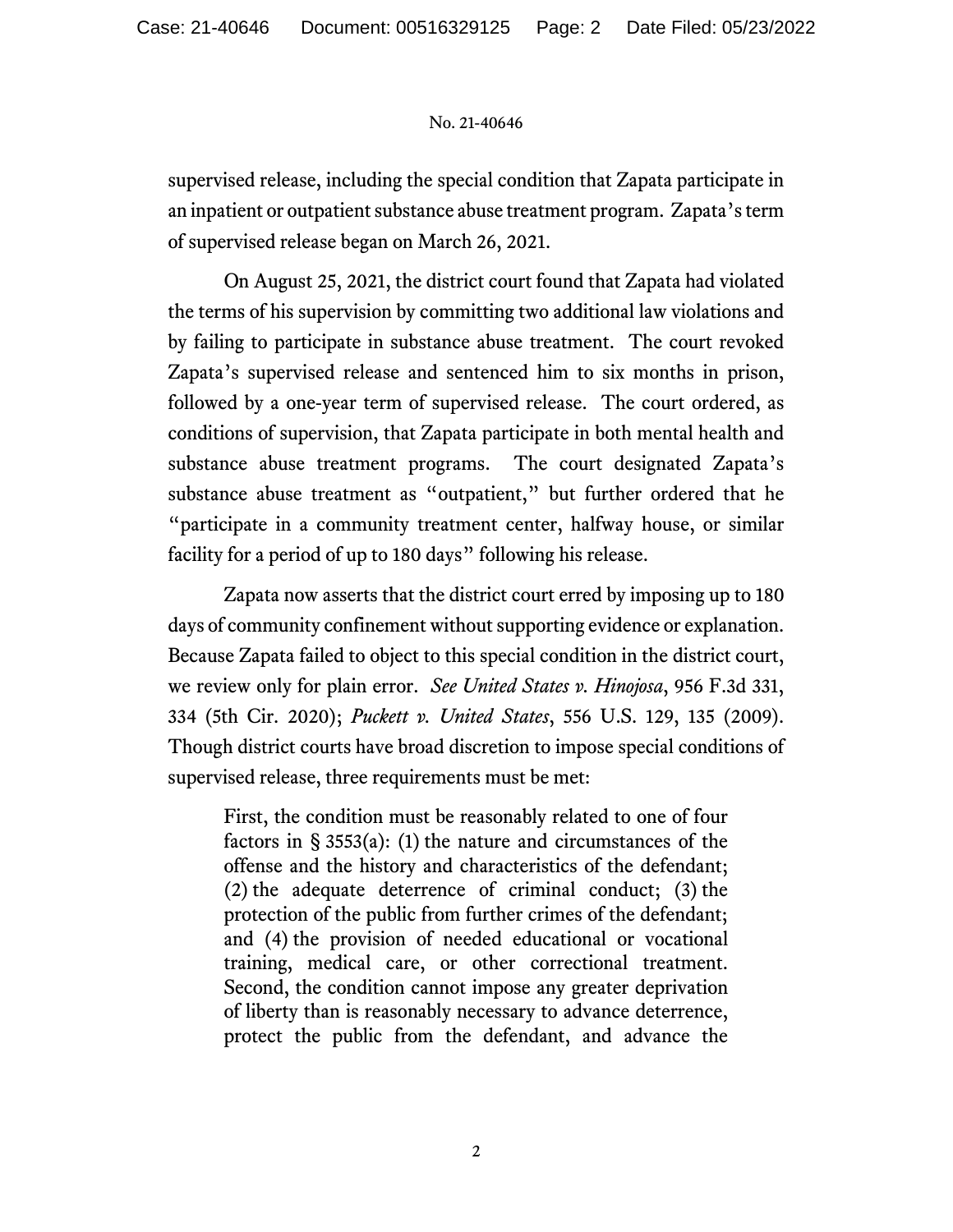## No. 21-40646

supervised release, including the special condition that Zapata participate in an inpatient or outpatient substance abuse treatment program. Zapata's term of supervised release began on March 26, 2021.

On August 25, 2021, the district court found that Zapata had violated the terms of his supervision by committing two additional law violations and by failing to participate in substance abuse treatment. The court revoked Zapata's supervised release and sentenced him to six months in prison, followed by a one-year term of supervised release. The court ordered, as conditions of supervision, that Zapata participate in both mental health and substance abuse treatment programs. The court designated Zapata's substance abuse treatment as "outpatient," but further ordered that he "participate in a community treatment center, halfway house, or similar facility for a period of up to 180 days" following his release.

Zapata now asserts that the district court erred by imposing up to 180 days of community confinement without supporting evidence or explanation. Because Zapata failed to object to this special condition in the district court, we review only for plain error. *See United States v. Hinojosa*, 956 F.3d 331, 334 (5th Cir. 2020); *Puckett v. United States*, 556 U.S. 129, 135 (2009). Though district courts have broad discretion to impose special conditions of supervised release, three requirements must be met:

First, the condition must be reasonably related to one of four factors in  $\S$  3553(a): (1) the nature and circumstances of the offense and the history and characteristics of the defendant; (2) the adequate deterrence of criminal conduct; (3) the protection of the public from further crimes of the defendant; and (4) the provision of needed educational or vocational training, medical care, or other correctional treatment. Second, the condition cannot impose any greater deprivation of liberty than is reasonably necessary to advance deterrence, protect the public from the defendant, and advance the